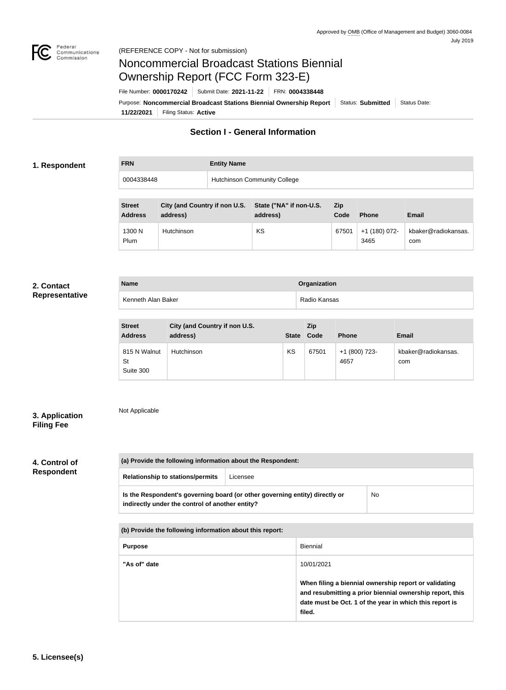

# Noncommercial Broadcast Stations Biennial Ownership Report (FCC Form 323-E)

**11/22/2021** Filing Status: **Active** Purpose: Noncommercial Broadcast Stations Biennial Ownership Report Status: Submitted Status Date: File Number: **0000170242** Submit Date: **2021-11-22** FRN: **0004338448**

## **Section I - General Information**

## **1. Respondent**

| <b>FRN</b> | <b>Entity Name</b>                  |
|------------|-------------------------------------|
| 0004338448 | <b>Hutchinson Community College</b> |

| <b>Street</b><br><b>Address</b> | City (and Country if non U.S.<br>address) | State ("NA" if non-U.S.<br>address) | Zip<br>Code | <b>Phone</b>          | Email                      |
|---------------------------------|-------------------------------------------|-------------------------------------|-------------|-----------------------|----------------------------|
| 1300 N<br>Plum                  | <b>Hutchinson</b>                         | KS                                  | 67501       | +1 (180) 072-<br>3465 | kbaker@radiokansas.<br>com |

#### **2. Contact Representative**

| <b>Name</b>        | Organization |
|--------------------|--------------|
| Kenneth Alan Baker | Radio Kansas |

| <b>Street</b><br><b>Address</b>        | City (and Country if non U.S.<br>address) | <b>State</b> | Zip<br>Code | <b>Phone</b>          | <b>Email</b>               |
|----------------------------------------|-------------------------------------------|--------------|-------------|-----------------------|----------------------------|
| 815 N Walnut<br><b>St</b><br>Suite 300 | Hutchinson                                | KS           | 67501       | +1 (800) 723-<br>4657 | kbaker@radiokansas.<br>com |

## **3. Application Filing Fee**

Not Applicable

## **4. Control of Respondent**

|                                                 | (a) Provide the following information about the Respondent:                 |     |  |  |
|-------------------------------------------------|-----------------------------------------------------------------------------|-----|--|--|
| <b>Relationship to stations/permits</b>         | Licensee                                                                    |     |  |  |
| indirectly under the control of another entity? | Is the Respondent's governing board (or other governing entity) directly or | No. |  |  |

| (b) Provide the following information about this report: |                                                                                                                                                                                        |  |  |
|----------------------------------------------------------|----------------------------------------------------------------------------------------------------------------------------------------------------------------------------------------|--|--|
| <b>Purpose</b>                                           | Biennial                                                                                                                                                                               |  |  |
| "As of" date                                             | 10/01/2021                                                                                                                                                                             |  |  |
|                                                          | When filing a biennial ownership report or validating<br>and resubmitting a prior biennial ownership report, this<br>date must be Oct. 1 of the year in which this report is<br>filed. |  |  |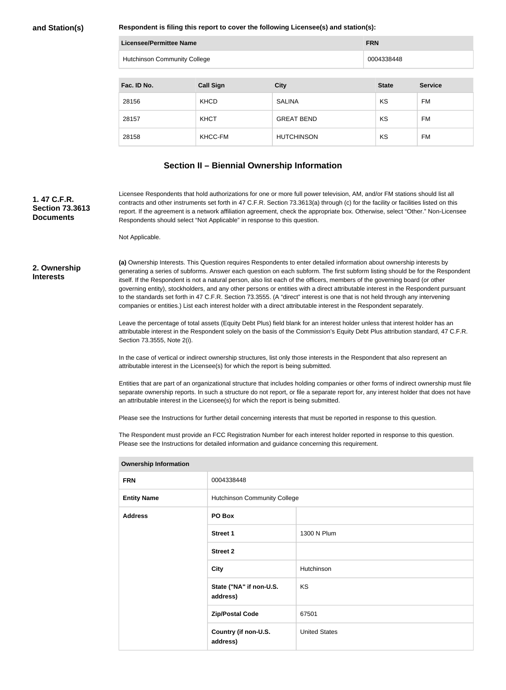**Respondent is filing this report to cover the following Licensee(s) and station(s):**

| Licensee/Permittee Name |                              |                   | <b>FRN</b>   |                |
|-------------------------|------------------------------|-------------------|--------------|----------------|
|                         | Hutchinson Community College |                   | 0004338448   |                |
|                         |                              |                   |              |                |
| Fac. ID No.             | <b>Call Sign</b>             | <b>City</b>       | <b>State</b> | <b>Service</b> |
| 28156                   | <b>KHCD</b>                  | <b>SALINA</b>     | KS           | <b>FM</b>      |
| 28157                   | <b>KHCT</b>                  | <b>GREAT BEND</b> | KS           | <b>FM</b>      |
| 28158                   | KHCC-FM                      | <b>HUTCHINSON</b> | KS           | FM             |

## **Section II – Biennial Ownership Information**

### **1. 47 C.F.R. Section 73.3613 Documents**

Licensee Respondents that hold authorizations for one or more full power television, AM, and/or FM stations should list all contracts and other instruments set forth in 47 C.F.R. Section 73.3613(a) through (c) for the facility or facilities listed on this report. If the agreement is a network affiliation agreement, check the appropriate box. Otherwise, select "Other." Non-Licensee Respondents should select "Not Applicable" in response to this question.

Not Applicable.

#### **2. Ownership Interests**

**(a)** Ownership Interests. This Question requires Respondents to enter detailed information about ownership interests by generating a series of subforms. Answer each question on each subform. The first subform listing should be for the Respondent itself. If the Respondent is not a natural person, also list each of the officers, members of the governing board (or other governing entity), stockholders, and any other persons or entities with a direct attributable interest in the Respondent pursuant to the standards set forth in 47 C.F.R. Section 73.3555. (A "direct" interest is one that is not held through any intervening companies or entities.) List each interest holder with a direct attributable interest in the Respondent separately.

Leave the percentage of total assets (Equity Debt Plus) field blank for an interest holder unless that interest holder has an attributable interest in the Respondent solely on the basis of the Commission's Equity Debt Plus attribution standard, 47 C.F.R. Section 73.3555, Note 2(i).

In the case of vertical or indirect ownership structures, list only those interests in the Respondent that also represent an attributable interest in the Licensee(s) for which the report is being submitted.

Entities that are part of an organizational structure that includes holding companies or other forms of indirect ownership must file separate ownership reports. In such a structure do not report, or file a separate report for, any interest holder that does not have an attributable interest in the Licensee(s) for which the report is being submitted.

Please see the Instructions for further detail concerning interests that must be reported in response to this question.

The Respondent must provide an FCC Registration Number for each interest holder reported in response to this question. Please see the Instructions for detailed information and guidance concerning this requirement.

| <b>FRN</b>         | 0004338448                          |                      |  |
|--------------------|-------------------------------------|----------------------|--|
| <b>Entity Name</b> | <b>Hutchinson Community College</b> |                      |  |
| <b>Address</b>     | PO Box                              |                      |  |
|                    | <b>Street 1</b>                     | 1300 N Plum          |  |
|                    | <b>Street 2</b>                     |                      |  |
|                    | <b>City</b>                         | Hutchinson           |  |
|                    | State ("NA" if non-U.S.<br>address) | KS                   |  |
|                    | <b>Zip/Postal Code</b>              | 67501                |  |
|                    | Country (if non-U.S.<br>address)    | <b>United States</b> |  |
|                    |                                     |                      |  |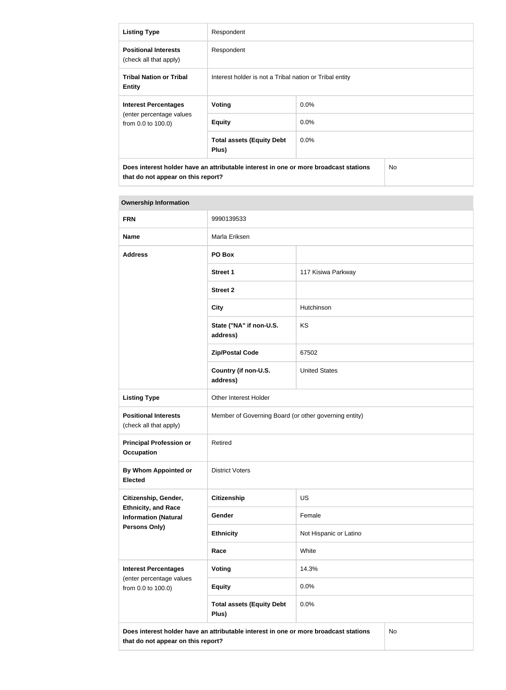| <b>Listing Type</b>                                                                                                                          | Respondent                                              |         |  |
|----------------------------------------------------------------------------------------------------------------------------------------------|---------------------------------------------------------|---------|--|
| <b>Positional Interests</b><br>(check all that apply)                                                                                        | Respondent                                              |         |  |
| <b>Tribal Nation or Tribal</b><br><b>Entity</b>                                                                                              | Interest holder is not a Tribal nation or Tribal entity |         |  |
| <b>Interest Percentages</b>                                                                                                                  | Voting                                                  | $0.0\%$ |  |
| (enter percentage values<br>from 0.0 to 100.0)                                                                                               | <b>Equity</b>                                           | $0.0\%$ |  |
|                                                                                                                                              | <b>Total assets (Equity Debt</b><br>Plus)               | $0.0\%$ |  |
| Does interest holder have an attributable interest in one or more broadcast stations<br>N <sub>o</sub><br>that do not appear on this report? |                                                         |         |  |

| <b>FRN</b>                                                                                                                       | 9990139533                                            |                        |  |
|----------------------------------------------------------------------------------------------------------------------------------|-------------------------------------------------------|------------------------|--|
| <b>Name</b>                                                                                                                      | Marla Eriksen                                         |                        |  |
| <b>Address</b>                                                                                                                   | PO Box                                                |                        |  |
|                                                                                                                                  | <b>Street 1</b>                                       | 117 Kisiwa Parkway     |  |
|                                                                                                                                  | <b>Street 2</b>                                       |                        |  |
|                                                                                                                                  | <b>City</b>                                           | Hutchinson             |  |
|                                                                                                                                  | State ("NA" if non-U.S.<br>address)                   | KS                     |  |
|                                                                                                                                  | <b>Zip/Postal Code</b>                                | 67502                  |  |
|                                                                                                                                  | Country (if non-U.S.<br>address)                      | <b>United States</b>   |  |
| <b>Listing Type</b>                                                                                                              | Other Interest Holder                                 |                        |  |
| <b>Positional Interests</b><br>(check all that apply)                                                                            | Member of Governing Board (or other governing entity) |                        |  |
| <b>Principal Profession or</b><br><b>Occupation</b>                                                                              | Retired                                               |                        |  |
| By Whom Appointed or<br><b>Elected</b>                                                                                           | <b>District Voters</b>                                |                        |  |
| Citizenship, Gender,                                                                                                             | <b>Citizenship</b>                                    | US                     |  |
| <b>Ethnicity, and Race</b><br><b>Information (Natural</b>                                                                        | Gender                                                | Female                 |  |
| <b>Persons Only)</b>                                                                                                             | <b>Ethnicity</b>                                      | Not Hispanic or Latino |  |
|                                                                                                                                  | Race                                                  | White                  |  |
| <b>Interest Percentages</b><br>(enter percentage values                                                                          | Voting                                                | 14.3%                  |  |
| from 0.0 to 100.0)                                                                                                               | <b>Equity</b>                                         | 0.0%                   |  |
|                                                                                                                                  | <b>Total assets (Equity Debt</b><br>Plus)             | 0.0%                   |  |
| No<br>Does interest holder have an attributable interest in one or more broadcast stations<br>that do not appear on this report? |                                                       |                        |  |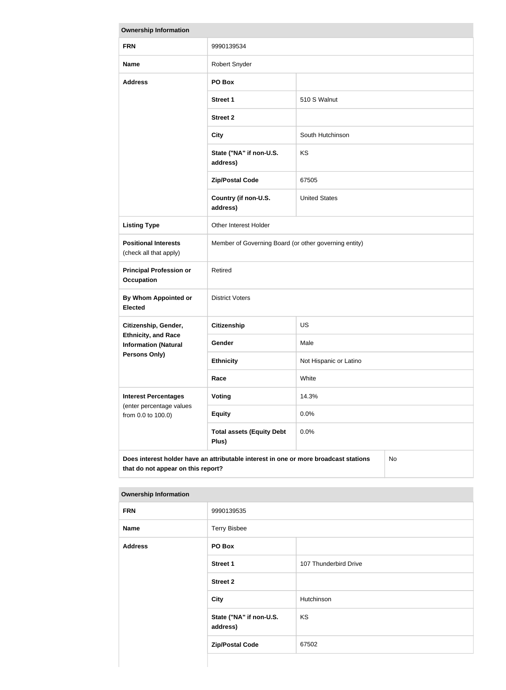| <b>Ownership Information</b>                                                                                                     |                                                       |                        |  |  |
|----------------------------------------------------------------------------------------------------------------------------------|-------------------------------------------------------|------------------------|--|--|
| <b>FRN</b>                                                                                                                       | 9990139534                                            |                        |  |  |
| <b>Name</b>                                                                                                                      | Robert Snyder                                         |                        |  |  |
| <b>Address</b>                                                                                                                   | PO Box                                                |                        |  |  |
|                                                                                                                                  | <b>Street 1</b>                                       | 510 S Walnut           |  |  |
|                                                                                                                                  | <b>Street 2</b>                                       |                        |  |  |
|                                                                                                                                  | <b>City</b>                                           | South Hutchinson       |  |  |
|                                                                                                                                  | State ("NA" if non-U.S.<br>address)                   | <b>KS</b>              |  |  |
|                                                                                                                                  | <b>Zip/Postal Code</b>                                | 67505                  |  |  |
|                                                                                                                                  | Country (if non-U.S.<br>address)                      | <b>United States</b>   |  |  |
| <b>Listing Type</b>                                                                                                              | Other Interest Holder                                 |                        |  |  |
| <b>Positional Interests</b><br>(check all that apply)                                                                            | Member of Governing Board (or other governing entity) |                        |  |  |
| <b>Principal Profession or</b><br><b>Occupation</b>                                                                              | Retired                                               |                        |  |  |
| <b>By Whom Appointed or</b><br><b>Elected</b>                                                                                    | <b>District Voters</b>                                |                        |  |  |
| Citizenship, Gender,                                                                                                             | <b>Citizenship</b>                                    | <b>US</b>              |  |  |
| <b>Ethnicity, and Race</b><br><b>Information (Natural</b>                                                                        | Gender                                                | Male                   |  |  |
| <b>Persons Only)</b>                                                                                                             | <b>Ethnicity</b>                                      | Not Hispanic or Latino |  |  |
|                                                                                                                                  | Race                                                  | White                  |  |  |
| <b>Interest Percentages</b><br>(enter percentage values                                                                          | <b>Voting</b>                                         | 14.3%                  |  |  |
| from 0.0 to 100.0)                                                                                                               | <b>Equity</b>                                         | 0.0%                   |  |  |
|                                                                                                                                  | <b>Total assets (Equity Debt</b><br>Plus)             | 0.0%                   |  |  |
| Does interest holder have an attributable interest in one or more broadcast stations<br>No<br>that do not appear on this report? |                                                       |                        |  |  |

| <b>FRN</b>     | 9990139535                          |                       |
|----------------|-------------------------------------|-----------------------|
| <b>Name</b>    | <b>Terry Bisbee</b>                 |                       |
| <b>Address</b> | PO Box                              |                       |
|                | <b>Street 1</b>                     | 107 Thunderbird Drive |
|                | <b>Street 2</b>                     |                       |
|                | <b>City</b>                         | Hutchinson            |
|                | State ("NA" if non-U.S.<br>address) | KS                    |
|                | <b>Zip/Postal Code</b>              | 67502                 |

##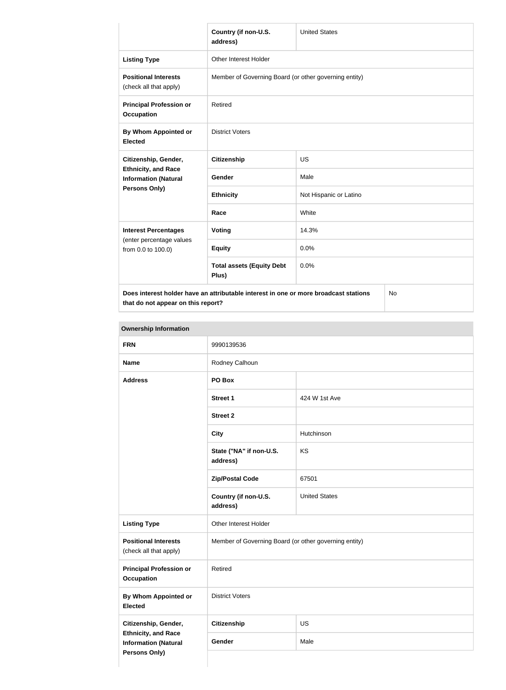|                                                                            | Country (if non-U.S.<br>address)                                                     | <b>United States</b>   |    |
|----------------------------------------------------------------------------|--------------------------------------------------------------------------------------|------------------------|----|
| <b>Listing Type</b>                                                        | Other Interest Holder                                                                |                        |    |
| <b>Positional Interests</b><br>(check all that apply)                      | Member of Governing Board (or other governing entity)                                |                        |    |
| <b>Principal Profession or</b><br><b>Occupation</b>                        | Retired                                                                              |                        |    |
| By Whom Appointed or<br><b>Elected</b>                                     | <b>District Voters</b>                                                               |                        |    |
| Citizenship, Gender,                                                       | <b>Citizenship</b>                                                                   | <b>US</b>              |    |
| <b>Ethnicity, and Race</b><br><b>Information (Natural</b><br>Persons Only) | <b>Gender</b>                                                                        | Male                   |    |
|                                                                            | <b>Ethnicity</b>                                                                     | Not Hispanic or Latino |    |
|                                                                            | Race                                                                                 | White                  |    |
| <b>Interest Percentages</b>                                                | Voting                                                                               | 14.3%                  |    |
| (enter percentage values<br>from 0.0 to 100.0)                             | <b>Equity</b>                                                                        | 0.0%                   |    |
|                                                                            | <b>Total assets (Equity Debt</b><br>Plus)                                            | 0.0%                   |    |
|                                                                            | Does interest holder have an attributable interest in one or more broadcast stations |                        | No |

**that do not appear on this report?**

**COL** 

No

| <b>FRN</b>                                                                        | 9990139536                                            |                      |
|-----------------------------------------------------------------------------------|-------------------------------------------------------|----------------------|
| <b>Name</b>                                                                       | Rodney Calhoun                                        |                      |
| <b>Address</b>                                                                    | PO Box                                                |                      |
|                                                                                   | <b>Street 1</b>                                       | 424 W 1st Ave        |
|                                                                                   | <b>Street 2</b>                                       |                      |
|                                                                                   | <b>City</b>                                           | Hutchinson           |
|                                                                                   | State ("NA" if non-U.S.<br>address)                   | KS                   |
|                                                                                   | <b>Zip/Postal Code</b>                                | 67501                |
|                                                                                   | Country (if non-U.S.<br>address)                      | <b>United States</b> |
| <b>Listing Type</b>                                                               | Other Interest Holder                                 |                      |
| <b>Positional Interests</b><br>(check all that apply)                             | Member of Governing Board (or other governing entity) |                      |
| <b>Principal Profession or</b><br><b>Occupation</b>                               | Retired                                               |                      |
| By Whom Appointed or<br><b>Elected</b>                                            | <b>District Voters</b>                                |                      |
| Citizenship, Gender,                                                              | <b>Citizenship</b>                                    | US                   |
| <b>Ethnicity, and Race</b><br><b>Information (Natural</b><br><b>Persons Only)</b> | Gender                                                | Male                 |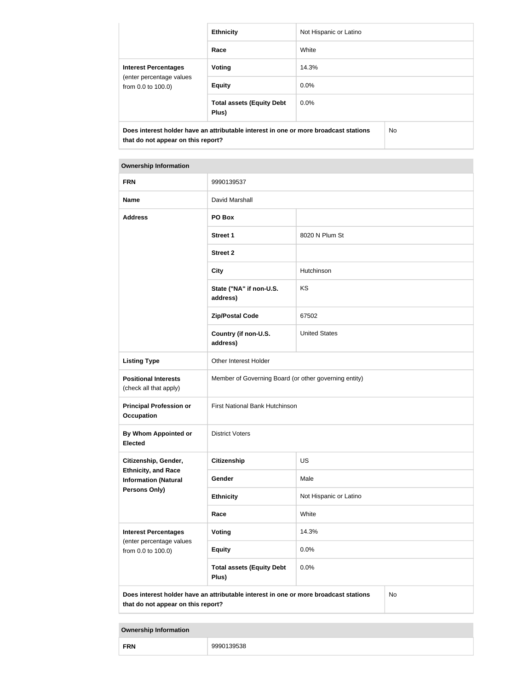|                                                                                                                            | <b>Ethnicity</b>                          | Not Hispanic or Latino |     |
|----------------------------------------------------------------------------------------------------------------------------|-------------------------------------------|------------------------|-----|
|                                                                                                                            | Race                                      | White                  |     |
| <b>Interest Percentages</b><br>(enter percentage values<br>from 0.0 to 100.0)                                              | <b>Voting</b>                             | 14.3%                  |     |
|                                                                                                                            | <b>Equity</b>                             | $0.0\%$                |     |
|                                                                                                                            | <b>Total assets (Equity Debt</b><br>Plus) | $0.0\%$                |     |
| Does interest holder have an attributable interest in one or more broadcast stations<br>that do not appear on this report? |                                           |                        | No. |

#### **Ownership Information**

| <b>FRN</b>                                                | 9990139537                                                                           |                        |           |
|-----------------------------------------------------------|--------------------------------------------------------------------------------------|------------------------|-----------|
| <b>Name</b>                                               | David Marshall                                                                       |                        |           |
| <b>Address</b>                                            | PO Box                                                                               |                        |           |
|                                                           | <b>Street 1</b>                                                                      | 8020 N Plum St         |           |
|                                                           | <b>Street 2</b>                                                                      |                        |           |
|                                                           | <b>City</b>                                                                          | Hutchinson             |           |
|                                                           | State ("NA" if non-U.S.<br>address)                                                  | KS                     |           |
|                                                           | <b>Zip/Postal Code</b>                                                               | 67502                  |           |
|                                                           | Country (if non-U.S.<br>address)                                                     | <b>United States</b>   |           |
| <b>Listing Type</b>                                       | Other Interest Holder                                                                |                        |           |
| <b>Positional Interests</b><br>(check all that apply)     | Member of Governing Board (or other governing entity)                                |                        |           |
| <b>Principal Profession or</b><br><b>Occupation</b>       | First National Bank Hutchinson                                                       |                        |           |
| <b>By Whom Appointed or</b><br><b>Elected</b>             | <b>District Voters</b>                                                               |                        |           |
| Citizenship, Gender,                                      | <b>Citizenship</b>                                                                   | US                     |           |
| <b>Ethnicity, and Race</b><br><b>Information (Natural</b> | Gender                                                                               | Male                   |           |
| <b>Persons Only)</b>                                      | <b>Ethnicity</b>                                                                     | Not Hispanic or Latino |           |
|                                                           | Race                                                                                 | White                  |           |
| <b>Interest Percentages</b>                               | <b>Voting</b>                                                                        | 14.3%                  |           |
| (enter percentage values<br>from 0.0 to 100.0)            | <b>Equity</b>                                                                        | 0.0%                   |           |
|                                                           | <b>Total assets (Equity Debt</b><br>Plus)                                            | 0.0%                   |           |
| that do not appear on this report?                        | Does interest holder have an attributable interest in one or more broadcast stations |                        | <b>No</b> |

| <b>FRN</b><br>139538<br><b>00001</b><br>uu |  |
|--------------------------------------------|--|
|--------------------------------------------|--|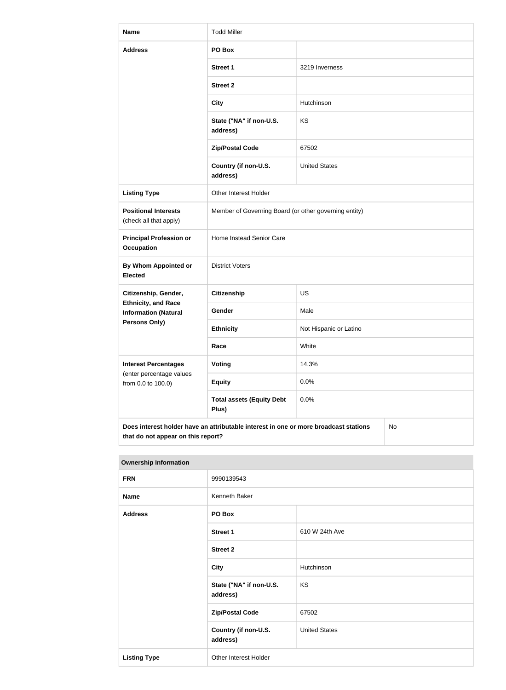| <b>Name</b>                                               | <b>Todd Miller</b>                                                                                                               |                        |  |
|-----------------------------------------------------------|----------------------------------------------------------------------------------------------------------------------------------|------------------------|--|
| <b>Address</b>                                            | PO Box                                                                                                                           |                        |  |
|                                                           | <b>Street 1</b>                                                                                                                  | 3219 Inverness         |  |
|                                                           | <b>Street 2</b>                                                                                                                  |                        |  |
|                                                           | <b>City</b>                                                                                                                      | Hutchinson             |  |
|                                                           | State ("NA" if non-U.S.<br>address)                                                                                              | KS                     |  |
|                                                           | <b>Zip/Postal Code</b>                                                                                                           | 67502                  |  |
|                                                           | Country (if non-U.S.<br>address)                                                                                                 | <b>United States</b>   |  |
| <b>Listing Type</b>                                       | Other Interest Holder                                                                                                            |                        |  |
| <b>Positional Interests</b><br>(check all that apply)     | Member of Governing Board (or other governing entity)                                                                            |                        |  |
| <b>Principal Profession or</b><br><b>Occupation</b>       | Home Instead Senior Care                                                                                                         |                        |  |
| <b>By Whom Appointed or</b><br><b>Elected</b>             | <b>District Voters</b>                                                                                                           |                        |  |
| Citizenship, Gender,                                      | <b>Citizenship</b>                                                                                                               | US                     |  |
| <b>Ethnicity, and Race</b><br><b>Information (Natural</b> | Gender                                                                                                                           | Male                   |  |
| <b>Persons Only)</b>                                      | <b>Ethnicity</b>                                                                                                                 | Not Hispanic or Latino |  |
|                                                           | Race                                                                                                                             | White                  |  |
| <b>Interest Percentages</b><br>(enter percentage values   | <b>Voting</b>                                                                                                                    | 14.3%                  |  |
| from 0.0 to 100.0)                                        | <b>Equity</b>                                                                                                                    | 0.0%                   |  |
|                                                           | <b>Total assets (Equity Debt</b><br>Plus)                                                                                        | 0.0%                   |  |
|                                                           | Does interest holder have an attributable interest in one or more broadcast stations<br>No<br>that do not appear on this report? |                        |  |

| <b>Ownership Information</b> |                                     |                      |
|------------------------------|-------------------------------------|----------------------|
| <b>FRN</b>                   | 9990139543                          |                      |
| <b>Name</b>                  | Kenneth Baker                       |                      |
| <b>Address</b>               | PO Box                              |                      |
|                              | <b>Street 1</b>                     | 610 W 24th Ave       |
|                              | <b>Street 2</b>                     |                      |
|                              | <b>City</b>                         | Hutchinson           |
|                              | State ("NA" if non-U.S.<br>address) | KS                   |
|                              | <b>Zip/Postal Code</b>              | 67502                |
|                              | Country (if non-U.S.<br>address)    | <b>United States</b> |
| <b>Listing Type</b>          | Other Interest Holder               |                      |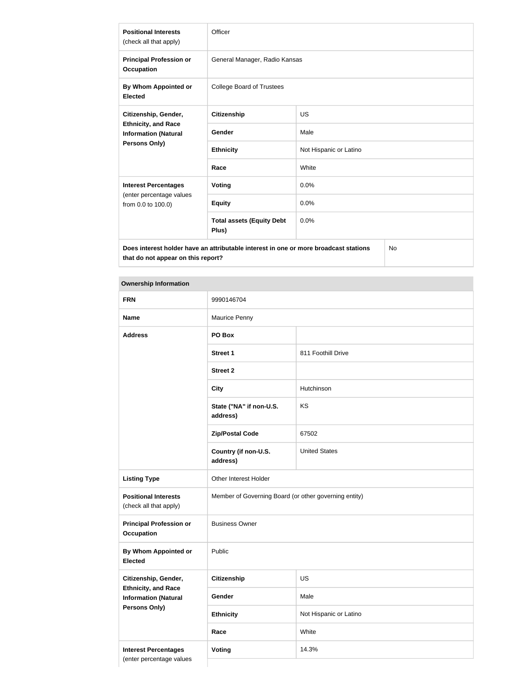| <b>Positional Interests</b><br>(check all that apply)     | Officer                                                                                             |                        |  |
|-----------------------------------------------------------|-----------------------------------------------------------------------------------------------------|------------------------|--|
| <b>Principal Profession or</b><br><b>Occupation</b>       | General Manager, Radio Kansas                                                                       |                        |  |
| By Whom Appointed or<br><b>Elected</b>                    | <b>College Board of Trustees</b>                                                                    |                        |  |
| Citizenship, Gender,                                      | <b>Citizenship</b>                                                                                  | <b>US</b>              |  |
| <b>Ethnicity, and Race</b><br><b>Information (Natural</b> | <b>Gender</b>                                                                                       | Male                   |  |
| <b>Persons Only)</b>                                      | <b>Ethnicity</b>                                                                                    | Not Hispanic or Latino |  |
|                                                           | Race                                                                                                | White                  |  |
| <b>Interest Percentages</b>                               | <b>Voting</b>                                                                                       | 0.0%                   |  |
| (enter percentage values<br>from 0.0 to 100.0)            | <b>Equity</b>                                                                                       | 0.0%                   |  |
|                                                           | <b>Total assets (Equity Debt</b><br>Plus)                                                           | 0.0%                   |  |
|                                                           | $N_{\rm A}$<br>Dees interest kelder keus en stuikutekle interest in ens er mere kreedsest stetiens. |                        |  |

**Does interest holder have an attributable interest in one or more broadcast stations that do not appear on this report?**

No

| <b>FRN</b>                                                                        | 9990146704                                            |                        |
|-----------------------------------------------------------------------------------|-------------------------------------------------------|------------------------|
| <b>Name</b>                                                                       | Maurice Penny                                         |                        |
| <b>Address</b>                                                                    | PO Box                                                |                        |
|                                                                                   | <b>Street 1</b>                                       | 811 Foothill Drive     |
|                                                                                   | <b>Street 2</b>                                       |                        |
|                                                                                   | <b>City</b>                                           | Hutchinson             |
|                                                                                   | State ("NA" if non-U.S.<br>address)                   | KS                     |
|                                                                                   | <b>Zip/Postal Code</b>                                | 67502                  |
|                                                                                   | Country (if non-U.S.<br>address)                      | <b>United States</b>   |
| <b>Listing Type</b>                                                               | Other Interest Holder                                 |                        |
| <b>Positional Interests</b><br>(check all that apply)                             | Member of Governing Board (or other governing entity) |                        |
| <b>Principal Profession or</b><br><b>Occupation</b>                               | <b>Business Owner</b>                                 |                        |
| By Whom Appointed or<br><b>Elected</b>                                            | Public                                                |                        |
| Citizenship, Gender,<br><b>Ethnicity, and Race</b><br><b>Information (Natural</b> | <b>Citizenship</b>                                    | US                     |
|                                                                                   | Gender                                                | Male                   |
| Persons Only)                                                                     | <b>Ethnicity</b>                                      | Not Hispanic or Latino |
|                                                                                   | Race                                                  | White                  |
| <b>Interest Percentages</b><br>(enter percentage values                           | <b>Voting</b>                                         | 14.3%                  |
|                                                                                   |                                                       |                        |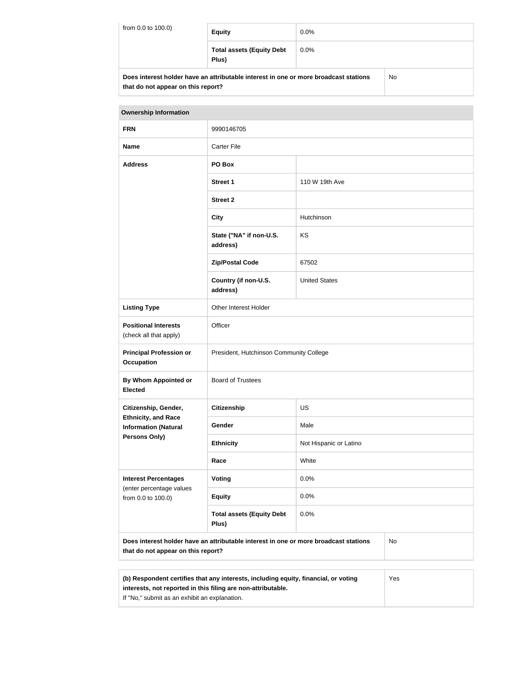| from 0.0 to 100.0)                                                                   | <b>Equity</b>                             | $0.0\%$ |    |
|--------------------------------------------------------------------------------------|-------------------------------------------|---------|----|
|                                                                                      | <b>Total assets (Equity Debt</b><br>Plus) | $0.0\%$ |    |
| Does interest holder have an attributable interest in one or more broadcast stations |                                           |         | No |

| Does interest noiger have an attributable interest in one or more proadcast stations. |
|---------------------------------------------------------------------------------------|
| that do not appear on this report?                                                    |

| <b>Ownership Information</b>                                                                                                     |                                           |                        |  |  |
|----------------------------------------------------------------------------------------------------------------------------------|-------------------------------------------|------------------------|--|--|
| <b>FRN</b>                                                                                                                       | 9990146705                                |                        |  |  |
| <b>Name</b>                                                                                                                      | <b>Carter File</b>                        |                        |  |  |
| <b>Address</b>                                                                                                                   | PO Box                                    |                        |  |  |
|                                                                                                                                  | <b>Street 1</b>                           | 110 W 19th Ave         |  |  |
|                                                                                                                                  | <b>Street 2</b>                           |                        |  |  |
|                                                                                                                                  | <b>City</b>                               | Hutchinson             |  |  |
|                                                                                                                                  | State ("NA" if non-U.S.<br>address)       | KS                     |  |  |
|                                                                                                                                  | <b>Zip/Postal Code</b>                    | 67502                  |  |  |
|                                                                                                                                  | Country (if non-U.S.<br>address)          | <b>United States</b>   |  |  |
| <b>Listing Type</b>                                                                                                              | Other Interest Holder                     |                        |  |  |
| <b>Positional Interests</b><br>(check all that apply)                                                                            | Officer                                   |                        |  |  |
| <b>Principal Profession or</b><br><b>Occupation</b>                                                                              | President, Hutchinson Community College   |                        |  |  |
| <b>By Whom Appointed or</b><br><b>Elected</b>                                                                                    | <b>Board of Trustees</b>                  |                        |  |  |
| Citizenship, Gender,                                                                                                             | <b>Citizenship</b>                        | <b>US</b>              |  |  |
| <b>Ethnicity, and Race</b><br><b>Information (Natural</b><br><b>Persons Only)</b>                                                | Gender                                    | Male                   |  |  |
|                                                                                                                                  | <b>Ethnicity</b>                          | Not Hispanic or Latino |  |  |
|                                                                                                                                  | Race                                      | White                  |  |  |
| <b>Interest Percentages</b><br>(enter percentage values<br>from 0.0 to 100.0)                                                    | Voting                                    | 0.0%                   |  |  |
|                                                                                                                                  | <b>Equity</b>                             | 0.0%                   |  |  |
|                                                                                                                                  | <b>Total assets (Equity Debt</b><br>Plus) | 0.0%                   |  |  |
| Does interest holder have an attributable interest in one or more broadcast stations<br>No<br>that do not appear on this report? |                                           |                        |  |  |

| (b) Respondent certifies that any interests, including equity, financial, or voting | Yes |
|-------------------------------------------------------------------------------------|-----|
| interests, not reported in this filing are non-attributable.                        |     |
| If "No," submit as an exhibit an explanation.                                       |     |